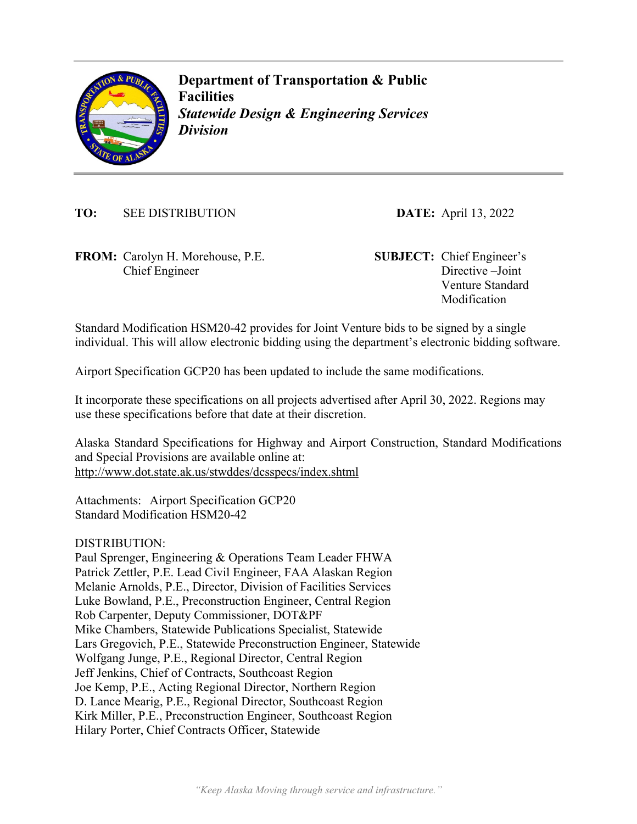

**Department of Transportation & Public Facilities**  *Statewide Design & Engineering Services Division* 

**TO:** SEE DISTRIBUTION **DATE:** April 13, 2022

**FROM:** Carolyn H. Morehouse, P.E. **SUBJECT:** Chief Engineer's Chief Engineer

Directive –Joint Venture Standard Modification

Standard Modification HSM20-42 provides for Joint Venture bids to be signed by a single individual. This will allow electronic bidding using the department's electronic bidding software.

Airport Specification GCP20 has been updated to include the same modifications.

It incorporate these specifications on all projects advertised after April 30, 2022. Regions may use these specifications before that date at their discretion.

Alaska Standard Specifications for Highway and Airport Construction, Standard Modifications and Special Provisions are available online at: http://www.dot.state.ak.us/stwddes/dcsspecs/index.shtml

Attachments: Airport Specification GCP20 Standard Modification HSM20-42

DISTRIBUTION:

Paul Sprenger, Engineering & Operations Team Leader FHWA Patrick Zettler, P.E. Lead Civil Engineer, FAA Alaskan Region Melanie Arnolds, P.E., Director, Division of Facilities Services Luke Bowland, P.E., Preconstruction Engineer, Central Region Rob Carpenter, Deputy Commissioner, DOT&PF Mike Chambers, Statewide Publications Specialist, Statewide Lars Gregovich, P.E., Statewide Preconstruction Engineer, Statewide Wolfgang Junge, P.E., Regional Director, Central Region Jeff Jenkins, Chief of Contracts, Southcoast Region Joe Kemp, P.E., Acting Regional Director, Northern Region D. Lance Mearig, P.E., Regional Director, Southcoast Region Kirk Miller, P.E., Preconstruction Engineer, Southcoast Region Hilary Porter, Chief Contracts Officer, Statewide